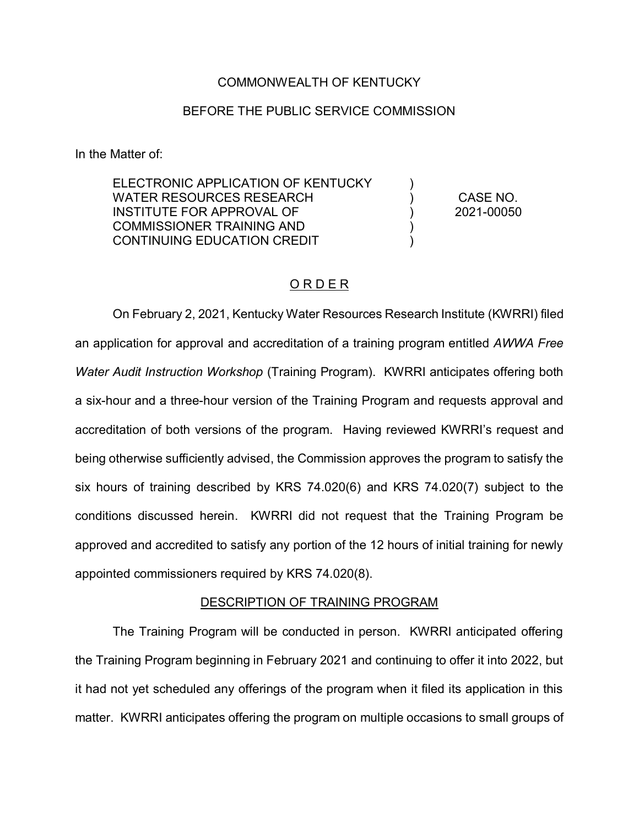#### COMMONWEALTH OF KENTUCKY

### BEFORE THE PUBLIC SERVICE COMMISSION

In the Matter of:

ELECTRONIC APPLICATION OF KENTUCKY WATER RESOURCES RESEARCH INSTITUTE FOR APPROVAL OF COMMISSIONER TRAINING AND CONTINUING EDUCATION CREDIT  $\lambda$  $\lambda$ ) ) ) CASE NO. 2021-00050

## ORDER

On February 2, 2021, Kentucky Water Resources Research Institute (KWRRI) filed an application for approval and accreditation of a training program entitled *AWWA Free Water Audit Instruction Workshop* (Training Program). KWRRI anticipates offering both a six-hour and a three-hour version of the Training Program and requests approval and accreditation of both versions of the program. Having reviewed KWRRI's request and being otherwise sufficiently advised, the Commission approves the program to satisfy the six hours of training described by KRS 74.020(6) and KRS 74.020(7) subject to the conditions discussed herein. KWRRI did not request that the Training Program be approved and accredited to satisfy any portion of the 12 hours of initial training for newly appointed commissioners required by KRS 74.020(8).

#### DESCRIPTION OF TRAINING PROGRAM

The Training Program will be conducted in person. KWRRI anticipated offering the Training Program beginning in February 2021 and continuing to offer it into 2022, but it had not yet scheduled any offerings of the program when it filed its application in this matter. KWRRI anticipates offering the program on multiple occasions to small groups of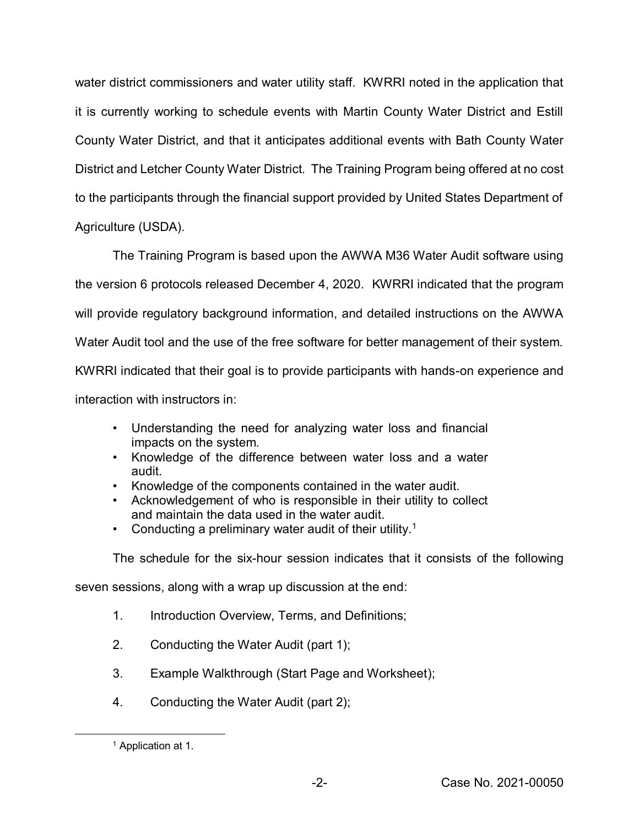water district commissioners and water utility staff. KWRRI noted in the application that it is currently working to schedule events with Martin County Water District and Estill County Water District, and that it anticipates additional events with Bath County Water District and Letcher County Water District. The Training Program being offered at no cost to the participants through the financial support provided by United States Department of Agriculture (USDA).

The Training Program is based upon the AWWA M36 Water Audit software using the version 6 protocols released December 4, 2020. KWRRI indicated that the program will provide regulatory background information, and detailed instructions on the AWWA Water Audit tool and the use of the free software for better management of their system. KWRRI indicated that their goal is to provide participants with hands-on experience and interaction with instructors in:

- Understanding the need for analyzing water loss and financial impacts on the system.
- Knowledge of the difference between water loss and a water audit.
- Knowledge of the components contained in the water audit.
- Acknowledgement of who is responsible in their utility to collect and maintain the data used in the water audit.
- Conducting a preliminary water audit of their utility.<sup>1</sup>

The schedule for the six-hour session indicates that it consists of the following

seven sessions, along with a wrap up discussion at the end:

- 1. Introduction Overview, Terms, and Definitions;
- 2. Conducting the Water Audit (part 1);
- 3. Example Walkthrough (Start Page and Worksheet);
- 4. Conducting the Water Audit (part 2);

 <sup>1</sup> Application at 1.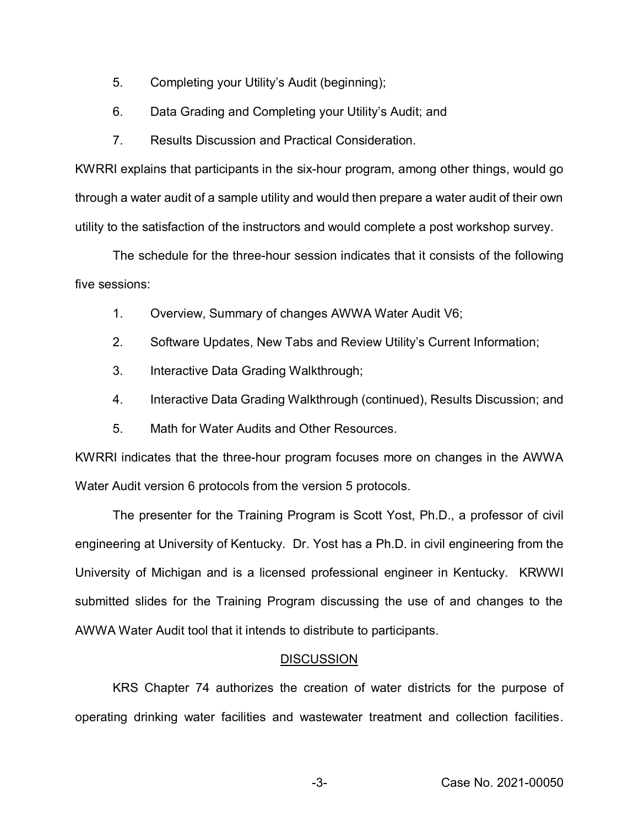- 5. Completing your Utility's Audit (beginning);
- 6. Data Grading and Completing your Utility's Audit; and
- 7. Results Discussion and Practical Consideration.

KWRRI explains that participants in the six-hour program, among other things, would go through a water audit of a sample utility and would then prepare a water audit of their own utility to the satisfaction of the instructors and would complete a post workshop survey.

The schedule for the three-hour session indicates that it consists of the following five sessions:

- 1. Overview, Summary of changes AWWA Water Audit V6;
- 2. Software Updates, New Tabs and Review Utility's Current Information;
- 3. Interactive Data Grading Walkthrough;
- 4. Interactive Data Grading Walkthrough (continued), Results Discussion; and
- 5. Math for Water Audits and Other Resources.

KWRRI indicates that the three-hour program focuses more on changes in the AWWA Water Audit version 6 protocols from the version 5 protocols.

The presenter for the Training Program is Scott Yost, Ph.D., a professor of civil engineering at University of Kentucky. Dr. Yost has a Ph.D. in civil engineering from the University of Michigan and is a licensed professional engineer in Kentucky. KRWWI submitted slides for the Training Program discussing the use of and changes to the AWWA Water Audit tool that it intends to distribute to participants.

#### **DISCUSSION**

KRS Chapter 74 authorizes the creation of water districts for the purpose of operating drinking water facilities and wastewater treatment and collection facilities.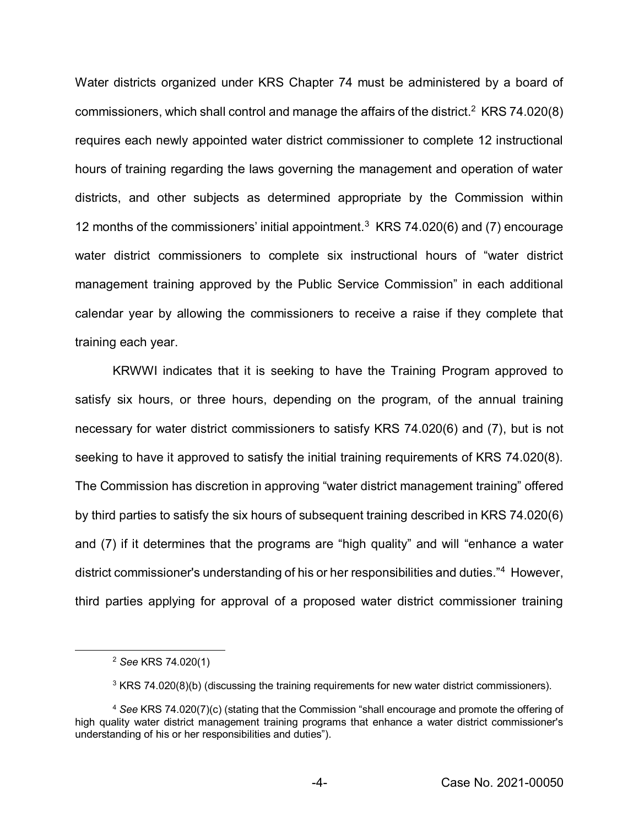Water districts organized under KRS Chapter 74 must be administered by a board of commissioners, which shall control and manage the affairs of the district.<sup>2</sup> KRS 74.020(8) requires each newly appointed water district commissioner to complete 12 instructional hours of training regarding the laws governing the management and operation of water districts, and other subjects as determined appropriate by the Commission within 12 months of the commissioners' initial appointment.<sup>3</sup> KRS 74.020(6) and (7) encourage water district commissioners to complete six instructional hours of "water district management training approved by the Public Service Commission" in each additional calendar year by allowing the commissioners to receive a raise if they complete that training each year.

KRWWI indicates that it is seeking to have the Training Program approved to satisfy six hours, or three hours, depending on the program, of the annual training necessary for water district commissioners to satisfy KRS 74.020(6) and (7), but is not seeking to have it approved to satisfy the initial training requirements of KRS 74.020(8). The Commission has discretion in approving "water district management training" offered by third parties to satisfy the six hours of subsequent training described in KRS 74.020(6) and (7) if it determines that the programs are "high quality" and will "enhance a water district commissioner's understanding of his or her responsibilities and duties."4 However, third parties applying for approval of a proposed water district commissioner training

 <sup>2</sup> *See* KRS 74.020(1)

 $3$  KRS 74.020(8)(b) (discussing the training requirements for new water district commissioners).

<sup>4</sup> *See* KRS 74.020(7)(c) (stating that the Commission "shall encourage and promote the offering of high quality water district management training programs that enhance a water district commissioner's understanding of his or her responsibilities and duties").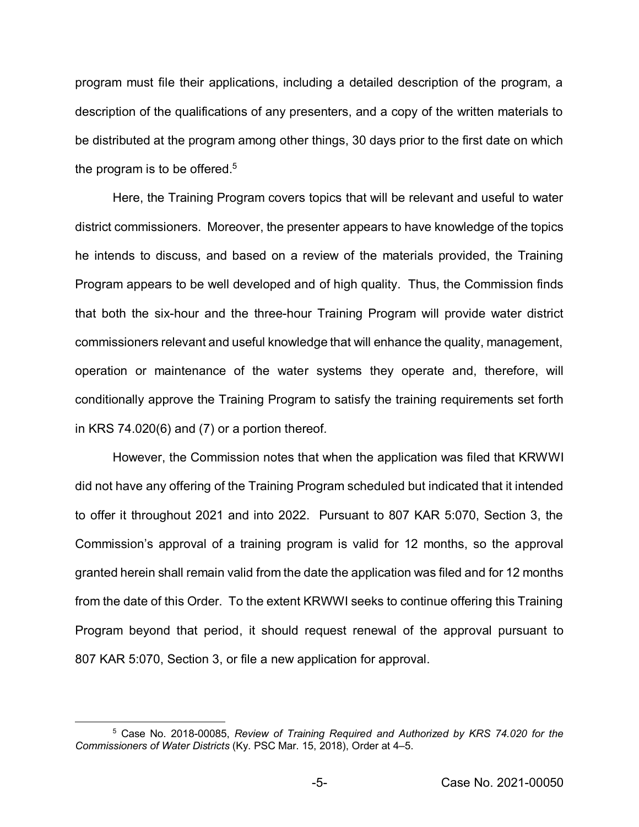program must file their applications, including a detailed description of the program, a description of the qualifications of any presenters, and a copy of the written materials to be distributed at the program among other things, 30 days prior to the first date on which the program is to be offered.<sup>5</sup>

Here, the Training Program covers topics that will be relevant and useful to water district commissioners. Moreover, the presenter appears to have knowledge of the topics he intends to discuss, and based on a review of the materials provided, the Training Program appears to be well developed and of high quality. Thus, the Commission finds that both the six-hour and the three-hour Training Program will provide water district commissioners relevant and useful knowledge that will enhance the quality, management, operation or maintenance of the water systems they operate and, therefore, will conditionally approve the Training Program to satisfy the training requirements set forth in KRS 74.020(6) and (7) or a portion thereof*.*

However, the Commission notes that when the application was filed that KRWWI did not have any offering of the Training Program scheduled but indicated that it intended to offer it throughout 2021 and into 2022. Pursuant to 807 KAR 5:070, Section 3, the Commission's approval of a training program is valid for 12 months, so the approval granted herein shall remain valid from the date the application was filed and for 12 months from the date of this Order. To the extent KRWWI seeks to continue offering this Training Program beyond that period, it should request renewal of the approval pursuant to 807 KAR 5:070, Section 3, or file a new application for approval.

 <sup>5</sup> Case No. 2018-00085, *Review of Training Required and Authorized by KRS 74.020 for the Commissioners of Water Districts* (Ky. PSC Mar. 15, 2018), Order at 4–5.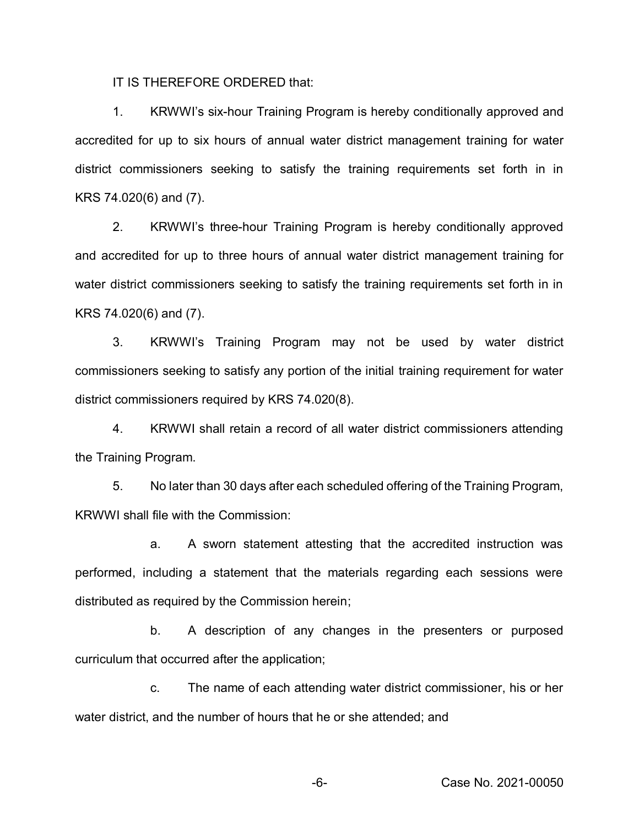IT IS THEREFORE ORDERED that:

1. KRWWI's six-hour Training Program is hereby conditionally approved and accredited for up to six hours of annual water district management training for water district commissioners seeking to satisfy the training requirements set forth in in KRS 74.020(6) and (7).

2. KRWWI's three-hour Training Program is hereby conditionally approved and accredited for up to three hours of annual water district management training for water district commissioners seeking to satisfy the training requirements set forth in in KRS 74.020(6) and (7).

3. KRWWI's Training Program may not be used by water district commissioners seeking to satisfy any portion of the initial training requirement for water district commissioners required by KRS 74.020(8).

4. KRWWI shall retain a record of all water district commissioners attending the Training Program.

5. No later than 30 days after each scheduled offering of the Training Program, KRWWI shall file with the Commission:

a. A sworn statement attesting that the accredited instruction was performed, including a statement that the materials regarding each sessions were distributed as required by the Commission herein;

b. A description of any changes in the presenters or purposed curriculum that occurred after the application;

c. The name of each attending water district commissioner, his or her water district, and the number of hours that he or she attended; and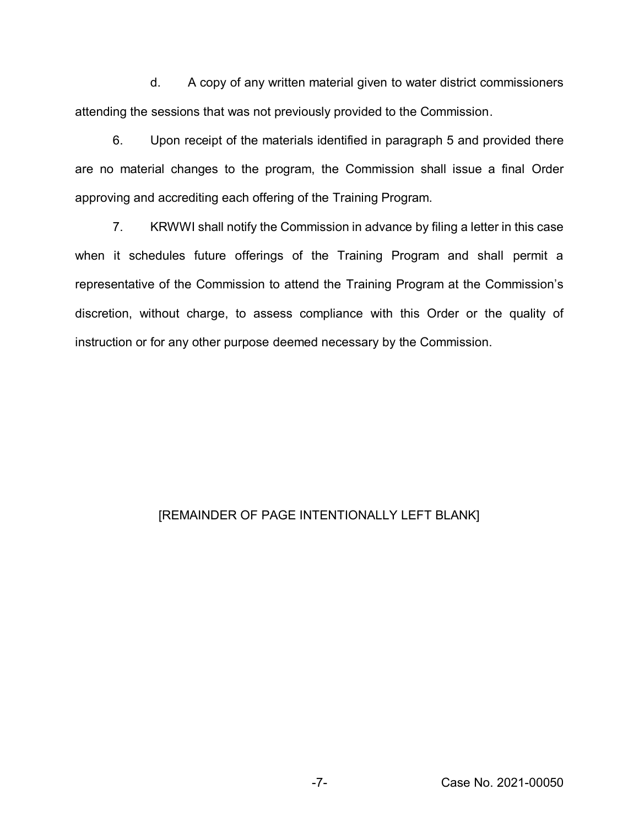d. A copy of any written material given to water district commissioners attending the sessions that was not previously provided to the Commission.

6. Upon receipt of the materials identified in paragraph 5 and provided there are no material changes to the program, the Commission shall issue a final Order approving and accrediting each offering of the Training Program.

7. KRWWI shall notify the Commission in advance by filing a letter in this case when it schedules future offerings of the Training Program and shall permit a representative of the Commission to attend the Training Program at the Commission's discretion, without charge, to assess compliance with this Order or the quality of instruction or for any other purpose deemed necessary by the Commission.

# [REMAINDER OF PAGE INTENTIONALLY LEFT BLANK]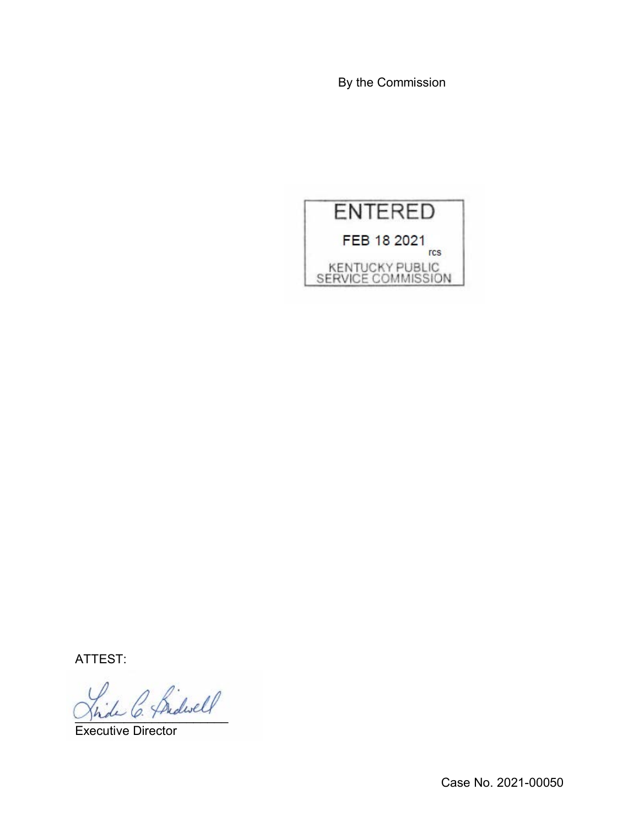By the Commission



ATTEST:

)<br>de C. Bidwell

Executive Director

Case No. 2021-00050